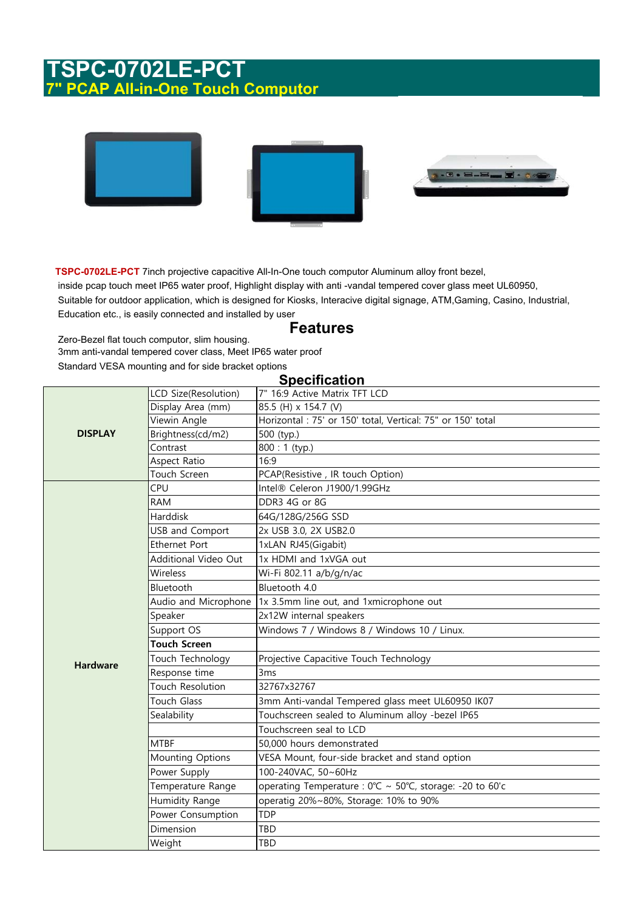## **7" PCAP All-in-One Touch Computor TSPC-0702LE-PCT**



**TSPC-0702LE-PCT** 7inch projective capacitive All-In-One touch computor Aluminum alloy front bezel, inside pcap touch meet IP65 water proof, Highlight display with anti -vandal tempered cover glass meet UL60950, Suitable for outdoor application, which is designed for Kiosks, Interacive digital signage, ATM,Gaming, Casino, Industrial, Education etc., is easily connected and installed by user

## **Features**

 Zero-Bezel flat touch computor, slim housing. 3mm anti-vandal tempered cover class, Meet IP65 water proof Standard VESA mounting and for side bracket options

| <b>Specification</b> |                         |                                                            |
|----------------------|-------------------------|------------------------------------------------------------|
| <b>DISPLAY</b>       | LCD Size(Resolution)    | 7" 16:9 Active Matrix TFT LCD                              |
|                      | Display Area (mm)       | 85.5 (H) x 154.7 (V)                                       |
|                      | Viewin Angle            | Horizontal: 75' or 150' total, Vertical: 75" or 150' total |
|                      | Brightness(cd/m2)       | 500 (typ.)                                                 |
|                      | Contrast                | $800:1$ (typ.)                                             |
|                      | Aspect Ratio            | 16:9                                                       |
|                      | Touch Screen            | PCAP(Resistive, IR touch Option)                           |
| <b>Hardware</b>      | CPU                     | Intel® Celeron J1900/1.99GHz                               |
|                      | <b>RAM</b>              | DDR3 4G or 8G                                              |
|                      | Harddisk                | 64G/128G/256G SSD                                          |
|                      | USB and Comport         | 2x USB 3.0, 2X USB2.0                                      |
|                      | <b>Ethernet Port</b>    | 1xLAN RJ45(Gigabit)                                        |
|                      | Additional Video Out    | 1x HDMI and 1xVGA out                                      |
|                      | Wireless                | Wi-Fi 802.11 a/b/g/n/ac                                    |
|                      | Bluetooth               | Bluetooth 4.0                                              |
|                      | Audio and Microphone    | 1x 3.5mm line out, and 1xmicrophone out                    |
|                      | Speaker                 | 2x12W internal speakers                                    |
|                      | Support OS              | Windows 7 / Windows 8 / Windows 10 / Linux.                |
|                      | <b>Touch Screen</b>     |                                                            |
|                      | Touch Technology        | Projective Capacitive Touch Technology                     |
|                      | Response time           | 3ms                                                        |
|                      | Touch Resolution        | 32767x32767                                                |
|                      | <b>Touch Glass</b>      | 3mm Anti-vandal Tempered glass meet UL60950 IK07           |
|                      | Sealability             | Touchscreen sealed to Aluminum alloy -bezel IP65           |
|                      |                         | Touchscreen seal to LCD                                    |
|                      | <b>MTBF</b>             | 50,000 hours demonstrated                                  |
|                      | <b>Mounting Options</b> | VESA Mount, four-side bracket and stand option             |
|                      | Power Supply            | 100-240VAC, 50~60Hz                                        |
|                      | Temperature Range       | operating Temperature : 0℃ ~ 50℃, storage: -20 to 60'c     |
|                      | Humidity Range          | operatig 20%~80%, Storage: 10% to 90%                      |
|                      | Power Consumption       | <b>TDP</b>                                                 |
|                      | Dimension               | TBD                                                        |
|                      | Weight                  | TBD                                                        |